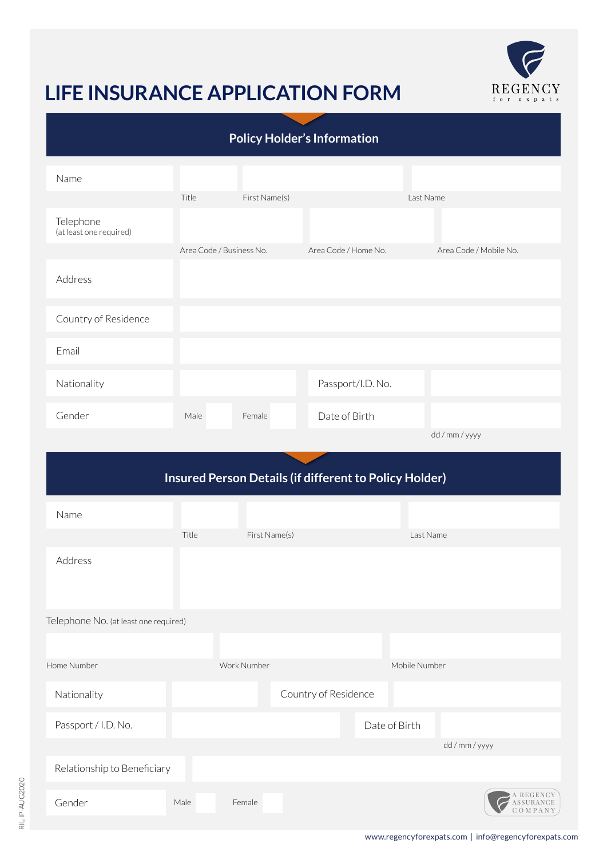

# **LIFE INSURANCE APPLICATION FORM**

Male Female

| <b>Policy Holder's Information</b>                     |       |                          |                      |                        |  |
|--------------------------------------------------------|-------|--------------------------|----------------------|------------------------|--|
| Name                                                   |       |                          |                      |                        |  |
| Telephone<br>(at least one required)                   | Title | First Name(s)            |                      | Last Name              |  |
| Address                                                |       | Area Code / Business No. | Area Code / Home No. | Area Code / Mobile No. |  |
| Country of Residence                                   |       |                          |                      |                        |  |
| Email                                                  |       |                          |                      |                        |  |
| Nationality                                            |       |                          | Passport/I.D. No.    |                        |  |
| Gender                                                 | Male  | Female                   | Date of Birth        |                        |  |
|                                                        |       |                          |                      | dd / mm / yyyy         |  |
| Insured Person Details (if different to Policy Holder) |       |                          |                      |                        |  |
| Name                                                   |       |                          |                      |                        |  |
|                                                        | Title | First Name(s)            |                      | Last Name              |  |
| Address                                                |       |                          |                      |                        |  |
| Telephone No. (at least one required)                  |       |                          |                      |                        |  |
|                                                        |       |                          |                      |                        |  |
| Home Number                                            |       | Work Number              |                      | Mobile Number          |  |
| Nationality                                            |       |                          | Country of Residence |                        |  |
| Passport / I.D. No.                                    |       |                          |                      | Date of Birth          |  |
|                                                        |       |                          |                      | dd / mm / yyyy         |  |
| Relationship to Beneficiary                            |       |                          |                      |                        |  |

Gender

A REGENCY ASSURANCE C O M P A N Y

 $\overline{\cal C}$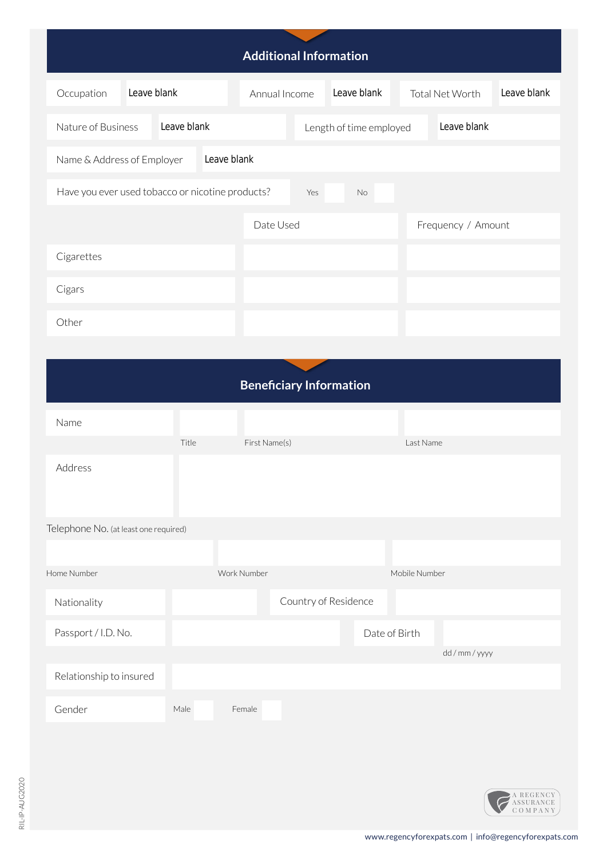| <b>Additional Information</b>                                        |             |               |  |                         |               |                    |             |
|----------------------------------------------------------------------|-------------|---------------|--|-------------------------|---------------|--------------------|-------------|
| Leave blank<br>Occupation                                            |             | Annual Income |  | Leave blank             |               | Total Net Worth    | Leave blank |
| Nature of Business                                                   | Leave blank |               |  | Length of time employed |               | Leave blank        |             |
| Leave blank<br>Name & Address of Employer                            |             |               |  |                         |               |                    |             |
| Have you ever used tobacco or nicotine products?<br>Yes<br><b>No</b> |             |               |  |                         |               |                    |             |
|                                                                      |             | Date Used     |  |                         |               | Frequency / Amount |             |
| Cigarettes                                                           |             |               |  |                         |               |                    |             |
| Cigars                                                               |             |               |  |                         |               |                    |             |
| Other                                                                |             |               |  |                         |               |                    |             |
|                                                                      |             |               |  |                         |               |                    |             |
| <b>Beneficiary Information</b>                                       |             |               |  |                         |               |                    |             |
| Name                                                                 |             |               |  |                         |               |                    |             |
|                                                                      | Title       | First Name(s) |  |                         | Last Name     |                    |             |
| Address                                                              |             |               |  |                         |               |                    |             |
| Telephone No. (at least one required)                                |             |               |  |                         |               |                    |             |
| Home Number                                                          |             | Work Number   |  |                         | Mobile Number |                    |             |
| Nationality                                                          |             |               |  | Country of Residence    |               |                    |             |
| Passport / I.D. No.                                                  |             |               |  |                         | Date of Birth |                    |             |
| Relationship to insured                                              |             |               |  |                         |               | dd / mm / yyyy     |             |
|                                                                      |             |               |  |                         |               |                    |             |
| Gender                                                               | Male        | Female        |  |                         |               |                    |             |
|                                                                      |             |               |  |                         |               |                    |             |
|                                                                      |             |               |  |                         |               |                    |             |

A REGENCY ASSURANCE C O M P A N Y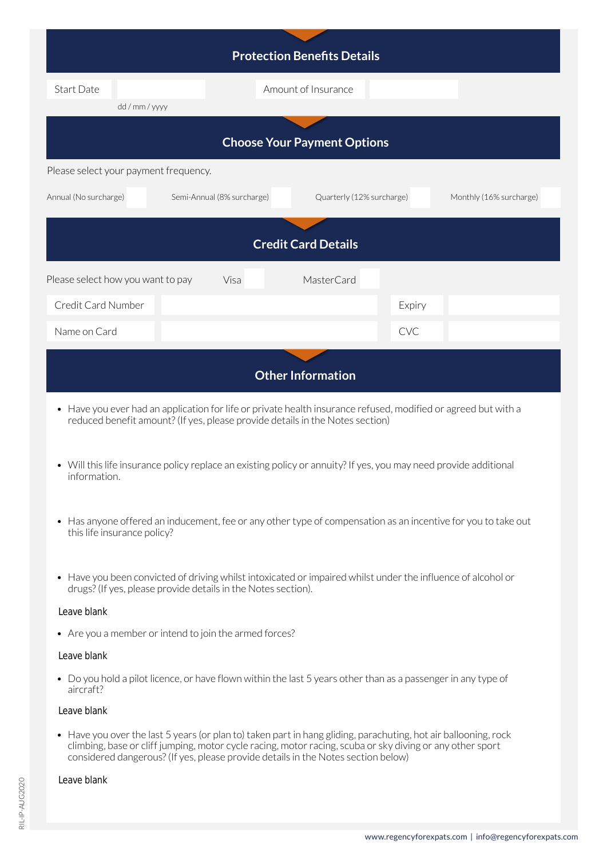| <b>Protection Benefits Details</b>                                               |      |                     |                         |  |  |  |
|----------------------------------------------------------------------------------|------|---------------------|-------------------------|--|--|--|
| <b>Start Date</b>                                                                |      | Amount of Insurance |                         |  |  |  |
| dd / mm / yyyy                                                                   |      |                     |                         |  |  |  |
| <b>Choose Your Payment Options</b>                                               |      |                     |                         |  |  |  |
| Please select your payment frequency.                                            |      |                     |                         |  |  |  |
| Annual (No surcharge)<br>Semi-Annual (8% surcharge)<br>Quarterly (12% surcharge) |      |                     | Monthly (16% surcharge) |  |  |  |
| <b>Credit Card Details</b>                                                       |      |                     |                         |  |  |  |
| Please select how you want to pay                                                | Visa | MasterCard          |                         |  |  |  |
| Credit Card Number                                                               |      |                     | Expiry                  |  |  |  |
| Name on Card                                                                     |      |                     | <b>CVC</b>              |  |  |  |
| <b>Other Information</b>                                                         |      |                     |                         |  |  |  |

- Have you ever had an application for life or private health insurance refused, modified or agreed but with a reduced benefit amount? (If yes, please provide details in the Notes section)
- Will this life insurance policy replace an existing policy or annuity? If yes, you may need provide additional information.
- Has anyone offered an inducement, fee or any other type of compensation as an incentive for you to take out this life insurance policy?
- Have you been convicted of driving whilst intoxicated or impaired whilst under the influence of alcohol or drugs? (If yes, please provide details in the Notes section).

#### Leave blank

• Are you a member or intend to join the armed forces?

#### Leave blank

• Do you hold a pilot licence, or have flown within the last 5 years other than as a passenger in any type of aircraft?

### Leave blank

• Have you over the last 5 years (or plan to) taken part in hang gliding, parachuting, hot air ballooning, rock climbing, base or cliff jumping, motor cycle racing, motor racing, scuba or sky diving or any other sport considered dangerous? (If yes, please provide details in the Notes section below)

#### Leave blank